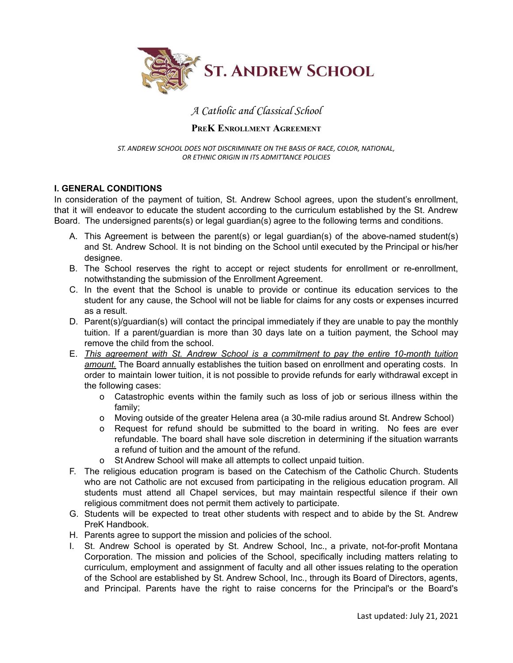

# A Catholic and Classical School

### **PREK ENROLLMENT AGREEMENT**

*ST. ANDREW SCHOOL DOES NOT DISCRIMINATE ON THE BASIS OF RACE, COLOR, NATIONAL, OR ETHNIC ORIGIN IN ITS ADMITTANCE POLICIES*

## **I. GENERAL CONDITIONS**

In consideration of the payment of tuition, St. Andrew School agrees, upon the student's enrollment, that it will endeavor to educate the student according to the curriculum established by the St. Andrew Board. The undersigned parents(s) or legal guardian(s) agree to the following terms and conditions.

- A. This Agreement is between the parent(s) or legal guardian(s) of the above-named student(s) and St. Andrew School. It is not binding on the School until executed by the Principal or his/her designee.
- B. The School reserves the right to accept or reject students for enrollment or re-enrollment, notwithstanding the submission of the Enrollment Agreement.
- C. In the event that the School is unable to provide or continue its education services to the student for any cause, the School will not be liable for claims for any costs or expenses incurred as a result.
- D. Parent(s)/guardian(s) will contact the principal immediately if they are unable to pay the monthly tuition. If a parent/guardian is more than 30 days late on a tuition payment, the School may remove the child from the school.
- E. *This agreement with St. Andrew School is a commitment to pay the entire 10-month tuition amount.* The Board annually establishes the tuition based on enrollment and operating costs. In order to maintain lower tuition, it is not possible to provide refunds for early withdrawal except in the following cases:
	- o Catastrophic events within the family such as loss of job or serious illness within the family;
	- o Moving outside of the greater Helena area (a 30-mile radius around St. Andrew School)
	- o Request for refund should be submitted to the board in writing. No fees are ever refundable. The board shall have sole discretion in determining if the situation warrants a refund of tuition and the amount of the refund.
	- o St Andrew School will make all attempts to collect unpaid tuition.
- F. The religious education program is based on the Catechism of the Catholic Church. Students who are not Catholic are not excused from participating in the religious education program. All students must attend all Chapel services, but may maintain respectful silence if their own religious commitment does not permit them actively to participate.
- G. Students will be expected to treat other students with respect and to abide by the St. Andrew PreK Handbook.
- H. Parents agree to support the mission and policies of the school.
- I. St. Andrew School is operated by St. Andrew School, Inc., a private, not-for-profit Montana Corporation. The mission and policies of the School, specifically including matters relating to curriculum, employment and assignment of faculty and all other issues relating to the operation of the School are established by St. Andrew School, Inc., through its Board of Directors, agents, and Principal. Parents have the right to raise concerns for the Principal's or the Board's